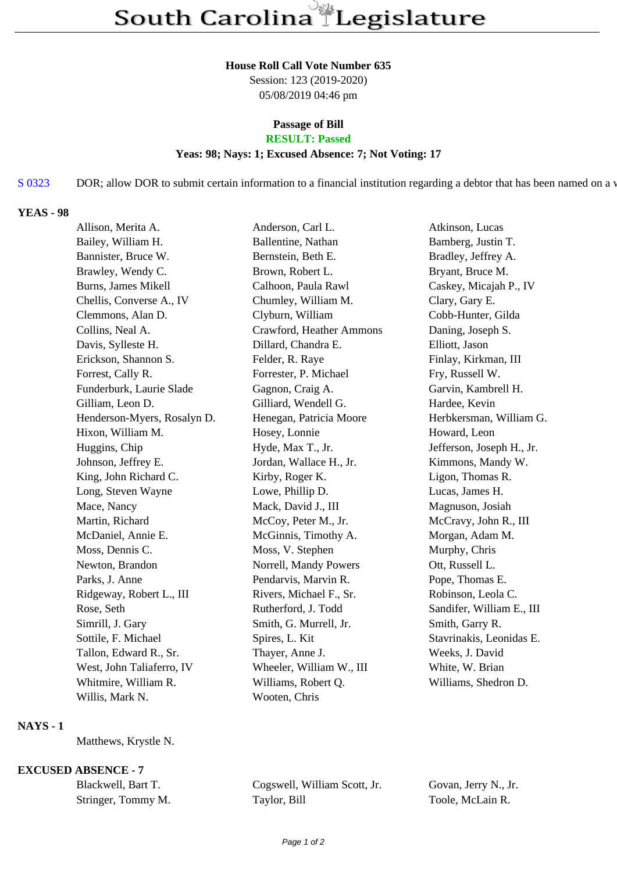#### **House Roll Call Vote Number 635**

Session: 123 (2019-2020) 05/08/2019 04:46 pm

# **Passage of Bill**

# **RESULT: Passed**

### **Yeas: 98; Nays: 1; Excused Absence: 7; Not Voting: 17**

# S 0323 DOR; allow DOR to submit certain information to a financial institution regarding a debtor that has been named on a warr

#### **YEAS - 98**

| Allison, Merita A.          | Anderson, Carl L.        | Atkinson, Lucas           |
|-----------------------------|--------------------------|---------------------------|
| Bailey, William H.          | Ballentine, Nathan       | Bamberg, Justin T.        |
| Bannister, Bruce W.         | Bernstein, Beth E.       | Bradley, Jeffrey A.       |
| Brawley, Wendy C.           | Brown, Robert L.         | Bryant, Bruce M.          |
| Burns, James Mikell         | Calhoon, Paula Rawl      | Caskey, Micajah P., IV    |
| Chellis, Converse A., IV    | Chumley, William M.      | Clary, Gary E.            |
| Clemmons, Alan D.           | Clyburn, William         | Cobb-Hunter, Gilda        |
| Collins, Neal A.            | Crawford, Heather Ammons | Daning, Joseph S.         |
| Davis, Sylleste H.          | Dillard, Chandra E.      | Elliott, Jason            |
| Erickson, Shannon S.        | Felder, R. Raye          | Finlay, Kirkman, III      |
| Forrest, Cally R.           | Forrester, P. Michael    | Fry, Russell W.           |
| Funderburk, Laurie Slade    | Gagnon, Craig A.         | Garvin, Kambrell H.       |
| Gilliam, Leon D.            | Gilliard, Wendell G.     | Hardee, Kevin             |
| Henderson-Myers, Rosalyn D. | Henegan, Patricia Moore  | Herbkersman, William G.   |
| Hixon, William M.           | Hosey, Lonnie            | Howard, Leon              |
| Huggins, Chip               | Hyde, Max T., Jr.        | Jefferson, Joseph H., Jr. |
| Johnson, Jeffrey E.         | Jordan, Wallace H., Jr.  | Kimmons, Mandy W.         |
| King, John Richard C.       | Kirby, Roger K.          | Ligon, Thomas R.          |
| Long, Steven Wayne          | Lowe, Phillip D.         | Lucas, James H.           |
| Mace, Nancy                 | Mack, David J., III      | Magnuson, Josiah          |
| Martin, Richard             | McCoy, Peter M., Jr.     | McCravy, John R., III     |
| McDaniel, Annie E.          | McGinnis, Timothy A.     | Morgan, Adam M.           |
| Moss, Dennis C.             | Moss, V. Stephen         | Murphy, Chris             |
| Newton, Brandon             | Norrell, Mandy Powers    | Ott, Russell L.           |
| Parks, J. Anne              | Pendarvis, Marvin R.     | Pope, Thomas E.           |
| Ridgeway, Robert L., III    | Rivers, Michael F., Sr.  | Robinson, Leola C.        |
| Rose, Seth                  | Rutherford, J. Todd      | Sandifer, William E., III |
| Simrill, J. Gary            | Smith, G. Murrell, Jr.   | Smith, Garry R.           |
| Sottile, F. Michael         | Spires, L. Kit           | Stavrinakis, Leonidas E.  |
| Tallon, Edward R., Sr.      | Thayer, Anne J.          | Weeks, J. David           |
| West, John Taliaferro, IV   | Wheeler, William W., III | White, W. Brian           |
| Whitmire, William R.        | Williams, Robert Q.      | Williams, Shedron D.      |
| Willis, Mark N.             | Wooten, Chris            |                           |

# **NAYS - 1**

Matthews, Krystle N.

# **EXCUSED ABSENCE - 7**

| Blackwell, Bart T. | Cogsw   |
|--------------------|---------|
| Stringer, Tommy M. | Taylor, |

ell, William Scott, Jr. Govan, Jerry N., Jr. Bill Toole, McLain R.